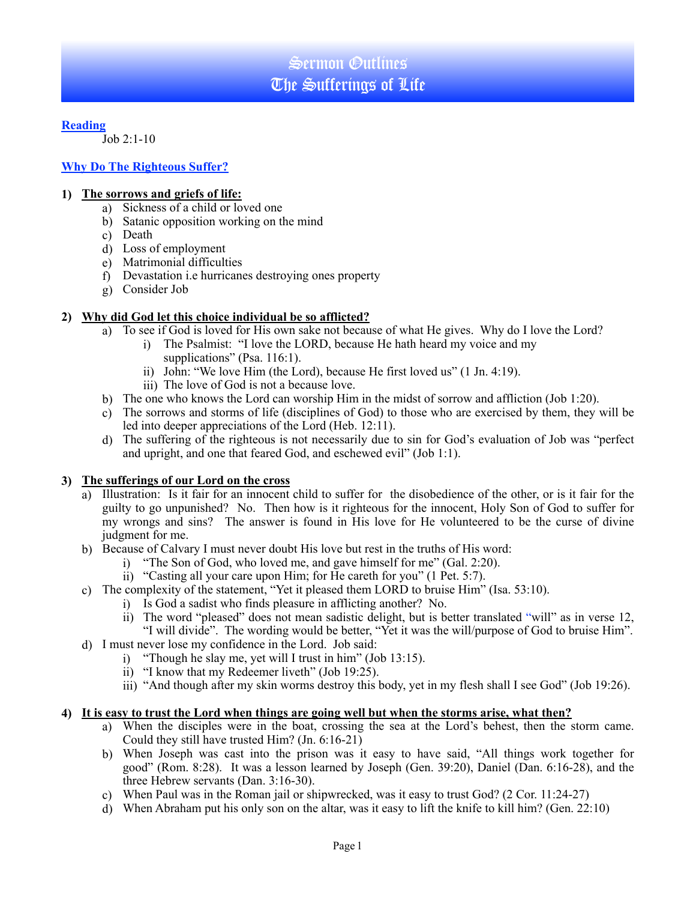## **Reading**

Job 2:1-10

# **Why Do The Righteous Suffer?**

### **1) The sorrows and griefs of life:**

- a) Sickness of a child or loved one
- b) Satanic opposition working on the mind
- c) Death
- d) Loss of employment
- e) Matrimonial difficulties
- f) Devastation i.e hurricanes destroying ones property
- g) Consider Job

## **2) Why did God let this choice individual be so afflicted?**

- a) To see if God is loved for His own sake not because of what He gives. Why do I love the Lord?
	- i) The Psalmist: "I love the LORD, because He hath heard my voice and my supplications" (Psa. 116:1).
		- ii) John: "We love Him (the Lord), because He first loved us" (1 Jn. 4:19).
		- iii) The love of God is not a because love.
- b) The one who knows the Lord can worship Him in the midst of sorrow and affliction (Job 1:20).
- c) The sorrows and storms of life (disciplines of God) to those who are exercised by them, they will be led into deeper appreciations of the Lord (Heb. 12:11).
- d) The suffering of the righteous is not necessarily due to sin for God's evaluation of Job was "perfect and upright, and one that feared God, and eschewed evil" (Job 1:1).

#### **3) The sufferings of our Lord on the cross**

- a) Illustration: Is it fair for an innocent child to suffer for the disobedience of the other, or is it fair for the guilty to go unpunished? No. Then how is it righteous for the innocent, Holy Son of God to suffer for my wrongs and sins? The answer is found in His love for He volunteered to be the curse of divine judgment for me.
- b) Because of Calvary I must never doubt His love but rest in the truths of His word:
	- i) "The Son of God, who loved me, and gave himself for me" (Gal. 2:20).
	- ii) "Casting all your care upon Him; for He careth for you" (1 Pet. 5:7).
- c) The complexity of the statement, "Yet it pleased them LORD to bruise Him" (Isa. 53:10).
	- i) Is God a sadist who finds pleasure in afflicting another? No.
	- ii) The word "pleased" does not mean sadistic delight, but is better translated "will" as in verse 12, "I will divide". The wording would be better, "Yet it was the will/purpose of God to bruise Him".
- d) I must never lose my confidence in the Lord. Job said:
	- i) "Though he slay me, yet will I trust in him" (Job 13:15).
	- ii) "I know that my Redeemer liveth" (Job 19:25).
	- iii) "And though after my skin worms destroy this body, yet in my flesh shall I see God" (Job 19:26).

#### **4) It is easy to trust the Lord when things are going well but when the storms arise, what then?**

- a) When the disciples were in the boat, crossing the sea at the Lord's behest, then the storm came. Could they still have trusted Him? (Jn. 6:16-21)
- b) When Joseph was cast into the prison was it easy to have said, "All things work together for good" (Rom. 8:28). It was a lesson learned by Joseph (Gen. 39:20), Daniel (Dan. 6:16-28), and the three Hebrew servants (Dan. 3:16-30).
- c) When Paul was in the Roman jail or shipwrecked, was it easy to trust God? (2 Cor. 11:24-27)
- d) When Abraham put his only son on the altar, was it easy to lift the knife to kill him? (Gen. 22:10)